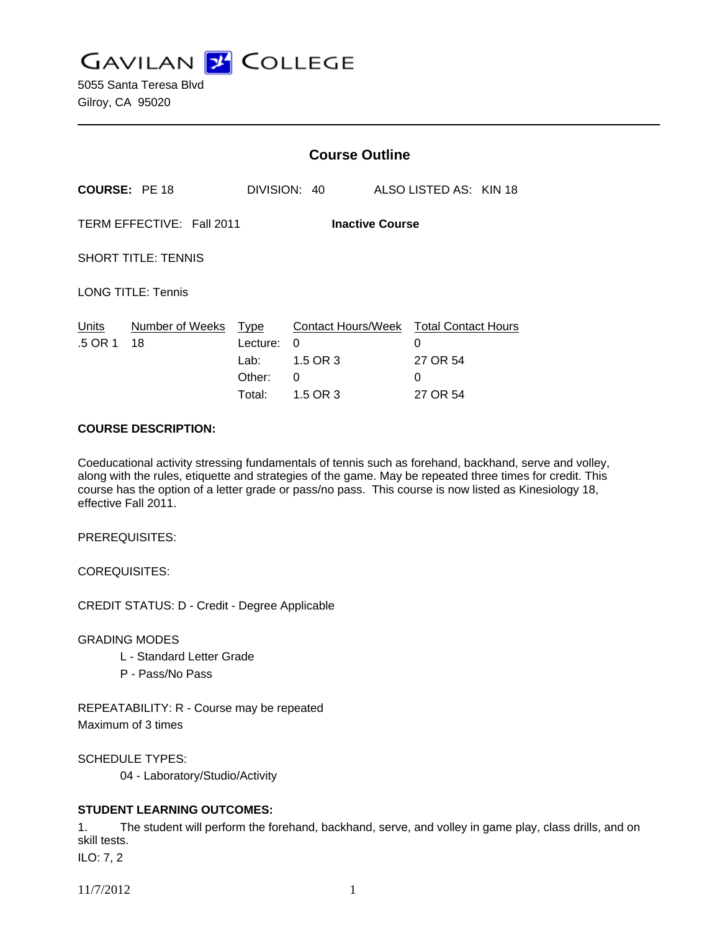**GAVILAN J COLLEGE** 

5055 Santa Teresa Blvd Gilroy, CA 95020

|                                                     |                       | <b>Course Outline</b>                               |                                                             |  |                                                              |  |
|-----------------------------------------------------|-----------------------|-----------------------------------------------------|-------------------------------------------------------------|--|--------------------------------------------------------------|--|
|                                                     | <b>COURSE: PE 18</b>  |                                                     | DIVISION: 40                                                |  | ALSO LISTED AS: KIN 18                                       |  |
| TERM EFFECTIVE: Fall 2011<br><b>Inactive Course</b> |                       |                                                     |                                                             |  |                                                              |  |
| <b>SHORT TITLE: TENNIS</b>                          |                       |                                                     |                                                             |  |                                                              |  |
| <b>LONG TITLE: Tennis</b>                           |                       |                                                     |                                                             |  |                                                              |  |
| Units<br>.5 OR 1                                    | Number of Weeks<br>18 | <u>Type</u><br>Lecture:<br>Lab:<br>Other:<br>Total: | <b>Contact Hours/Week</b><br>0<br>1.5 OR 3<br>0<br>1.5 OR 3 |  | <b>Total Contact Hours</b><br>0<br>27 OR 54<br>0<br>27 OR 54 |  |

### **COURSE DESCRIPTION:**

Coeducational activity stressing fundamentals of tennis such as forehand, backhand, serve and volley, along with the rules, etiquette and strategies of the game. May be repeated three times for credit. This course has the option of a letter grade or pass/no pass. This course is now listed as Kinesiology 18, effective Fall 2011.

PREREQUISITES:

COREQUISITES:

CREDIT STATUS: D - Credit - Degree Applicable

GRADING MODES

- L Standard Letter Grade
- P Pass/No Pass

REPEATABILITY: R - Course may be repeated Maximum of 3 times

SCHEDULE TYPES:

04 - Laboratory/Studio/Activity

# **STUDENT LEARNING OUTCOMES:**

1. The student will perform the forehand, backhand, serve, and volley in game play, class drills, and on skill tests.

ILO: 7, 2

11/7/2012 1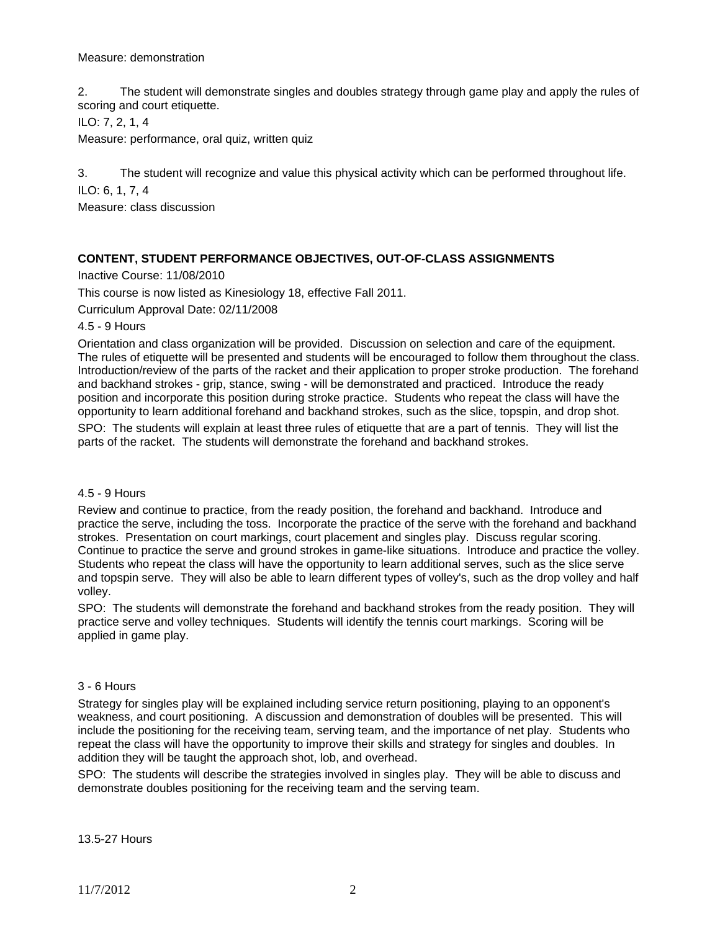### Measure: demonstration

2. The student will demonstrate singles and doubles strategy through game play and apply the rules of scoring and court etiquette.

ILO: 7, 2, 1, 4

Measure: performance, oral quiz, written quiz

3. The student will recognize and value this physical activity which can be performed throughout life.

ILO: 6, 1, 7, 4

Measure: class discussion

# **CONTENT, STUDENT PERFORMANCE OBJECTIVES, OUT-OF-CLASS ASSIGNMENTS**

Inactive Course: 11/08/2010

This course is now listed as Kinesiology 18, effective Fall 2011.

Curriculum Approval Date: 02/11/2008

4.5 - 9 Hours

Orientation and class organization will be provided. Discussion on selection and care of the equipment. The rules of etiquette will be presented and students will be encouraged to follow them throughout the class. Introduction/review of the parts of the racket and their application to proper stroke production. The forehand and backhand strokes - grip, stance, swing - will be demonstrated and practiced. Introduce the ready position and incorporate this position during stroke practice. Students who repeat the class will have the opportunity to learn additional forehand and backhand strokes, such as the slice, topspin, and drop shot.

SPO: The students will explain at least three rules of etiquette that are a part of tennis. They will list the parts of the racket. The students will demonstrate the forehand and backhand strokes.

#### 4.5 - 9 Hours

Review and continue to practice, from the ready position, the forehand and backhand. Introduce and practice the serve, including the toss. Incorporate the practice of the serve with the forehand and backhand strokes. Presentation on court markings, court placement and singles play. Discuss regular scoring. Continue to practice the serve and ground strokes in game-like situations. Introduce and practice the volley. Students who repeat the class will have the opportunity to learn additional serves, such as the slice serve and topspin serve. They will also be able to learn different types of volley's, such as the drop volley and half volley.

SPO: The students will demonstrate the forehand and backhand strokes from the ready position. They will practice serve and volley techniques. Students will identify the tennis court markings. Scoring will be applied in game play.

# 3 - 6 Hours

Strategy for singles play will be explained including service return positioning, playing to an opponent's weakness, and court positioning. A discussion and demonstration of doubles will be presented. This will include the positioning for the receiving team, serving team, and the importance of net play. Students who repeat the class will have the opportunity to improve their skills and strategy for singles and doubles. In addition they will be taught the approach shot, lob, and overhead.

SPO: The students will describe the strategies involved in singles play. They will be able to discuss and demonstrate doubles positioning for the receiving team and the serving team.

13.5-27 Hours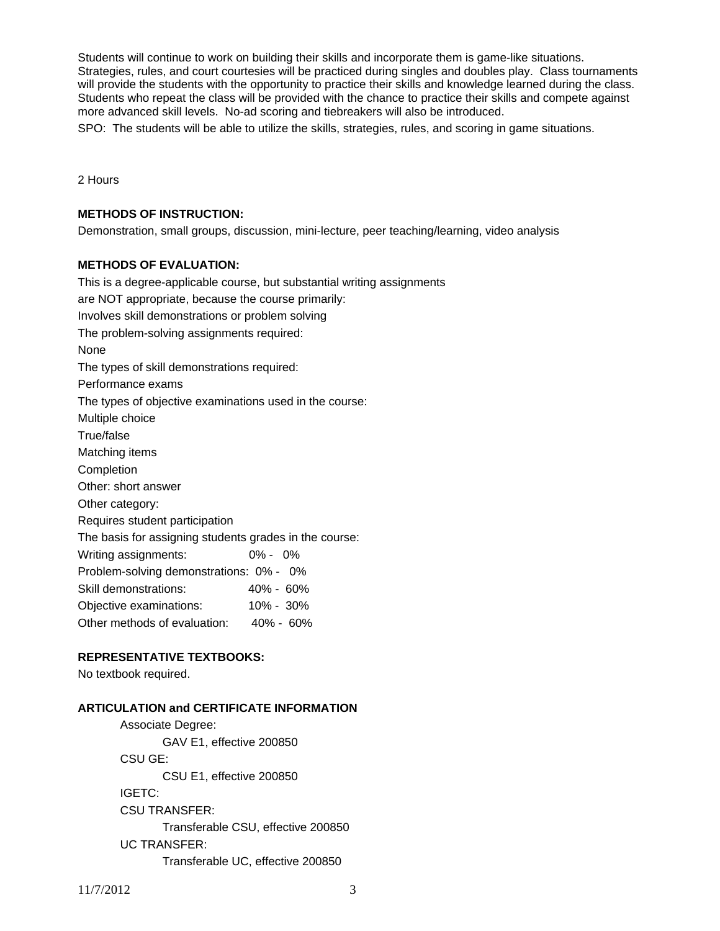Students will continue to work on building their skills and incorporate them is game-like situations. Strategies, rules, and court courtesies will be practiced during singles and doubles play. Class tournaments will provide the students with the opportunity to practice their skills and knowledge learned during the class. Students who repeat the class will be provided with the chance to practice their skills and compete against more advanced skill levels. No-ad scoring and tiebreakers will also be introduced.

SPO: The students will be able to utilize the skills, strategies, rules, and scoring in game situations.

2 Hours

#### **METHODS OF INSTRUCTION:**

Demonstration, small groups, discussion, mini-lecture, peer teaching/learning, video analysis

### **METHODS OF EVALUATION:**

This is a degree-applicable course, but substantial writing assignments are NOT appropriate, because the course primarily: Involves skill demonstrations or problem solving The problem-solving assignments required: None The types of skill demonstrations required: Performance exams The types of objective examinations used in the course: Multiple choice True/false Matching items Completion Other: short answer Other category: Requires student participation The basis for assigning students grades in the course: Writing assignments: 0% - 0% Problem-solving demonstrations: 0% - 0% Skill demonstrations: 40% - 60% Objective examinations: 10% - 30% Other methods of evaluation: 40% - 60%

# **REPRESENTATIVE TEXTBOOKS:**

No textbook required.

#### **ARTICULATION and CERTIFICATE INFORMATION**

 Associate Degree: GAV E1, effective 200850 CSU GE: CSU E1, effective 200850 IGETC: CSU TRANSFER: Transferable CSU, effective 200850 UC TRANSFER: Transferable UC, effective 200850